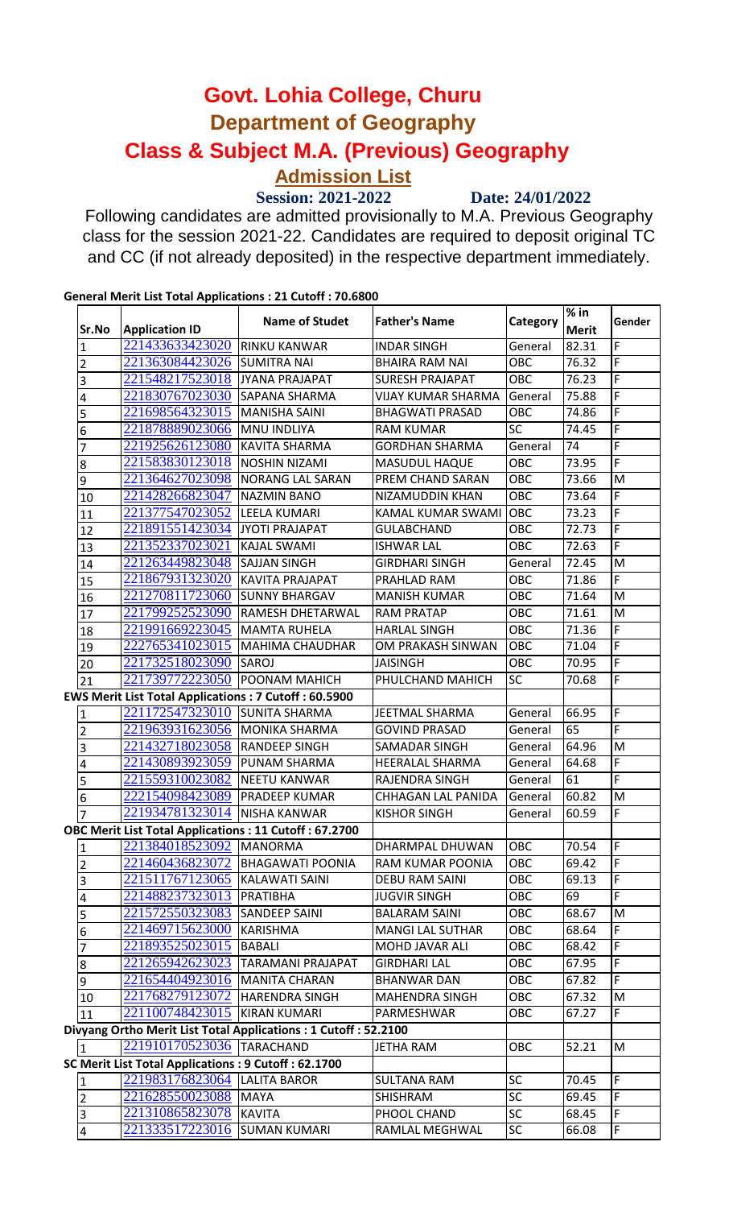## **Class & Subject M.A. (Previous) Geography Govt. Lohia College, Churu Department of Geography Admission List**

 **Session: 2021-2022 Date: 24/01/2022**

Following candidates are admitted provisionally to M.A. Previous Geography class for the session 2021-22. Candidates are required to deposit original TC and CC (if not already deposited) in the respective department immediately.

| Sr.No                                                 | <b>Application ID</b>                                       | Name of Studet                                                 | <b>Father's Name</b>      | Category         | $%$ in<br><b>Merit</b> | Gender |
|-------------------------------------------------------|-------------------------------------------------------------|----------------------------------------------------------------|---------------------------|------------------|------------------------|--------|
| 1                                                     | 221433633423020                                             | <b>RINKU KANWAR</b>                                            | <b>INDAR SINGH</b>        | General          | 82.31                  | F      |
| $\overline{2}$                                        | 221363084423026                                             | <b>SUMITRA NAI</b>                                             | <b>BHAIRA RAM NAI</b>     | OBC              | 76.32                  | F      |
| 3                                                     | 221548217523018                                             | JYANA PRAJAPAT                                                 | <b>SURESH PRAJAPAT</b>    | OBC              | $\overline{76.23}$     | F      |
| 4                                                     | 221830767023030                                             | <b>SAPANA SHARMA</b>                                           | <b>VIJAY KUMAR SHARMA</b> | General          | 75.88                  | F      |
| 5                                                     | 221698564323015                                             | MANISHA SAINI                                                  | <b>BHAGWATI PRASAD</b>    | OBC              | 74.86                  | F      |
| 6                                                     | 221878889023066                                             | MNU INDLIYA                                                    | <b>RAM KUMAR</b>          | $\overline{SC}$  | 74.45                  | F      |
| 7                                                     | 221925626123080                                             | <b>KAVITA SHARMA</b>                                           | <b>GORDHAN SHARMA</b>     | General          | 74                     | F      |
| 8                                                     | 221583830123018                                             | <b>NOSHIN NIZAMI</b>                                           | <b>MASUDUL HAQUE</b>      | OBC              | 73.95                  | F      |
| 9                                                     | 221364627023098                                             | <b>NORANG LAL SARAN</b>                                        | PREM CHAND SARAN          | OBC              | 73.66                  | M      |
| 10                                                    | 221428266823047                                             | <b>NAZMIN BANO</b>                                             | NIZAMUDDIN KHAN           | OBC              | 73.64                  | F      |
| 11                                                    | 221377547023052                                             | <b>LEELA KUMARI</b>                                            | KAMAL KUMAR SWAMI         | OBC              | 73.23                  | F      |
| 12                                                    | 221891551423034                                             | JYOTI PRAJAPAT                                                 | <b>GULABCHAND</b>         | OBC              | 72.73                  | F      |
| 13                                                    | 221352337023021                                             | KAJAL SWAMI                                                    | <b>ISHWAR LAL</b>         | OBC              | 72.63                  | F      |
| 14                                                    | 221263449823048                                             | <b>SAJJAN SINGH</b>                                            | <b>GIRDHARI SINGH</b>     | General          | 72.45                  | M      |
| 15                                                    | 221867931323020                                             | <b>KAVITA PRAJAPAT</b>                                         | PRAHLAD RAM               | OBC              | 71.86                  | F      |
| 16                                                    | 221270811723060                                             | <b>SUNNY BHARGAV</b>                                           | <b>MANISH KUMAR</b>       | $\overline{OBC}$ | 71.64                  | M      |
| 17                                                    | 221799252523090                                             | <b>RAMESH DHETARWAL</b>                                        | <b>RAM PRATAP</b>         | OBC              | 71.61                  | M      |
| 18                                                    | 221991669223045                                             | <b>IMAMTA RUHELA</b>                                           | <b>HARLAL SINGH</b>       | OBC              | 71.36                  | F      |
| 19                                                    | 222765341023015                                             | MAHIMA CHAUDHAR                                                | OM PRAKASH SINWAN         | OBC              | 71.04                  | F      |
| 20                                                    | 221732518023090                                             | SAROJ                                                          | <b>JAISINGH</b>           | OBC              | 70.95                  | F      |
| 21                                                    | 221739772223050                                             | <b>POONAM MAHICH</b>                                           | PHULCHAND MAHICH          | <b>SC</b>        | 70.68                  | F      |
|                                                       | <b>EWS Merit List Total Applications: 7 Cutoff: 60.5900</b> |                                                                |                           |                  |                        |        |
| 1                                                     | 221172547323010                                             | <b>SUNITA SHARMA</b>                                           | JEETMAL SHARMA            | General          | 66.95                  | F      |
| $\overline{c}$                                        | 221963931623056                                             | MONIKA SHARMA                                                  | <b>GOVIND PRASAD</b>      | General          | 65                     | F      |
| 3                                                     | 221432718023058                                             | <b>RANDEEP SINGH</b>                                           | <b>SAMADAR SINGH</b>      | General          | 64.96                  | M      |
| 4                                                     | 221430893923059                                             | <b>PUNAM SHARMA</b>                                            | HEERALAL SHARMA           | General          | 64.68                  | F      |
| 5                                                     | 221559310023082                                             | <b>NEETU KANWAR</b>                                            | RAJENDRA SINGH            | General          | 61                     | F      |
| 6                                                     | 222154098423089                                             | <b>PRADEEP KUMAR</b>                                           | CHHAGAN LAL PANIDA        | General          | 60.82                  | M      |
| 7                                                     | 221934781323014                                             | <b>NISHA KANWAR</b>                                            | <b>KISHOR SINGH</b>       | General          | 60.59                  | F      |
| OBC Merit List Total Applications: 11 Cutoff: 67.2700 |                                                             |                                                                |                           |                  |                        |        |
| 1                                                     | 221384018523092                                             | MANORMA                                                        | DHARMPAL DHUWAN           | OBC              | 70.54                  | I۴     |
| $\overline{2}$                                        | 221460436823072                                             | <b>BHAGAWATI POONIA</b>                                        | RAM KUMAR POONIA          | OBC              | 69.42                  | F      |
| 3                                                     | 221511767123065                                             | KALAWATI SAINI                                                 | <b>DEBU RAM SAINI</b>     | OBC              | 69.13                  | F      |
| 4                                                     | 221488237323013                                             | PRATIBHA                                                       | <b>JUGVIR SINGH</b>       | <b>OBC</b>       | 69                     | F      |
| 5                                                     | 221572550323083                                             | <b>SANDEEP SAINI</b>                                           | <b>BALARAM SAINI</b>      | OBC              | 68.67                  | M      |
| 6                                                     | 221469715623000                                             | KARISHMA                                                       | <b>MANGI LAL SUTHAR</b>   | OBC              | 68.64                  | F      |
| 7                                                     | 221893525023015                                             | BABALI                                                         | MOHD JAVAR ALI            | OBC              | 68.42                  | F      |
| 8                                                     | 221265942623023                                             | <b>TARAMANI PRAJAPAT</b>                                       | <b>GIRDHARI LAL</b>       | <b>OBC</b>       | 67.95                  | F      |
| 9                                                     | 221654404923016                                             | MANITA CHARAN                                                  | <b>BHANWAR DAN</b>        | OBC              | 67.82                  | F      |
| 10                                                    | 221768279123072                                             | <b>HARENDRA SINGH</b>                                          | <b>MAHENDRA SINGH</b>     | OBC              | 67.32                  | M      |
| 11                                                    | 221100748423015                                             | KIRAN KUMARI                                                   | PARMESHWAR                | OBC              | 67.27                  | F.     |
|                                                       |                                                             | Divyang Ortho Merit List Total Applications: 1 Cutoff: 52.2100 |                           |                  |                        |        |
| 1                                                     | 221910170523036 TARACHAND                                   |                                                                | JETHA RAM                 | OBC              | 52.21                  | M      |
|                                                       | SC Merit List Total Applications: 9 Cutoff: 62.1700         |                                                                |                           |                  |                        |        |
| 1                                                     | 221983176823064                                             | <b>LALITA BAROR</b>                                            | <b>SULTANA RAM</b>        | <b>SC</b>        | 70.45                  | F      |
| $\overline{2}$                                        | 221628550023088                                             | <b>MAYA</b>                                                    | <b>SHISHRAM</b>           | <b>SC</b>        | 69.45                  | F      |
| 3                                                     | 221310865823078                                             | KAVITA                                                         | PHOOL CHAND               | <b>SC</b>        | 68.45                  | F      |
| $\overline{4}$                                        | 221333517223016                                             | <b>SUMAN KUMARI</b>                                            | RAMLAL MEGHWAL            | <b>SC</b>        | 66.08                  | F      |

## **General Merit List Total Applications : 21 Cutoff : 70.6800**